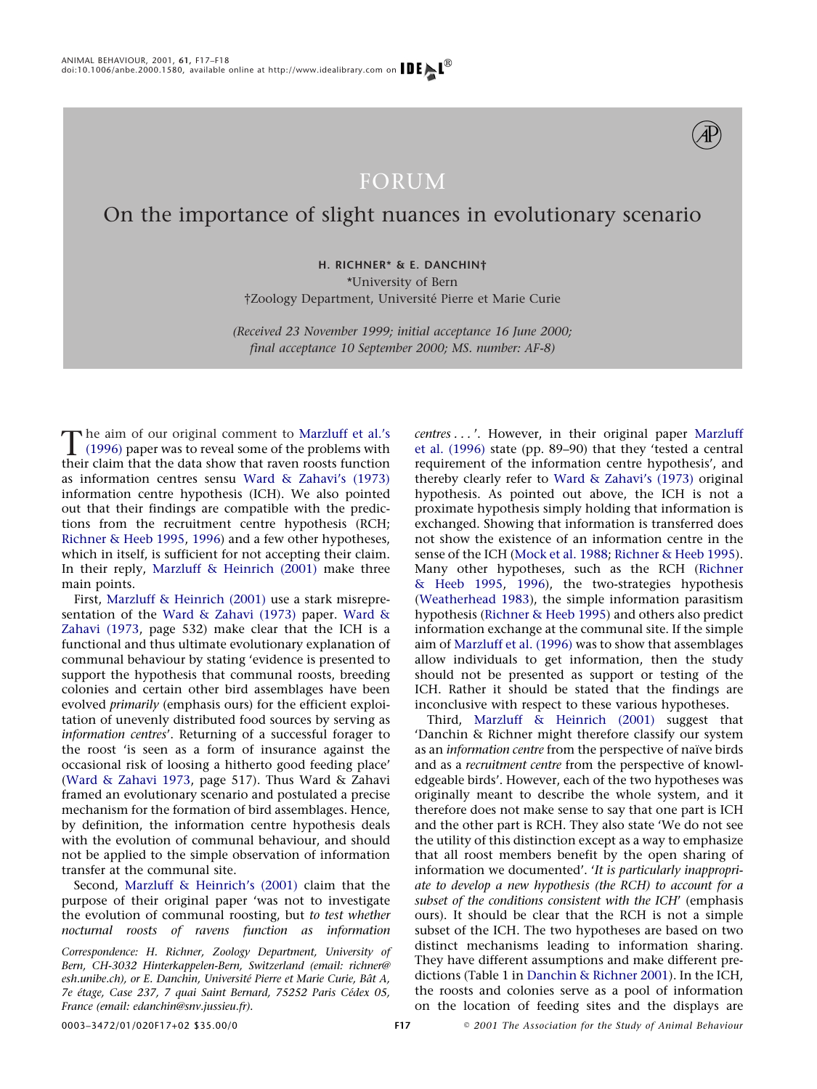

## FORUM

## On the importance of slight nuances in evolutionary scenario

**H. RICHNER\* & E. DANCHIN†**

\*University of Bern

†Zoology Department, Universite´ Pierre et Marie Curie

*(Received 23 November 1999; initial acceptance 16 June 2000; final acceptance 10 September 2000; MS. number: AF-8)*

The aim of our original comment to [Marzluff et al.'s](#page-1-0)<br> [\(1996\)](#page-1-0) paper was to reveal some of the problems with<br>
their claim that the data show that rayon roots function their claim that the data show that raven roosts function as information centres sensu [Ward & Zahavi's \(1973\)](#page-1-1) information centre hypothesis (ICH). We also pointed out that their findings are compatible with the predictions from the recruitment centre hypothesis (RCH; [Richner & Heeb 1995,](#page-1-2) [1996\)](#page-1-3) and a few other hypotheses, which in itself, is sufficient for not accepting their claim. In their reply, [Marzluff & Heinrich \(2001\)](#page-1-4) make three main points.

First, [Marzluff & Heinrich \(2001\)](#page-1-4) use a stark misrepresentation of the [Ward & Zahavi \(1973\)](#page-1-1) paper. [Ward &](#page-1-1) [Zahavi \(1973,](#page-1-1) page 532) make clear that the ICH is a functional and thus ultimate evolutionary explanation of communal behaviour by stating 'evidence is presented to support the hypothesis that communal roosts, breeding colonies and certain other bird assemblages have been evolved *primarily* (emphasis ours) for the efficient exploitation of unevenly distributed food sources by serving as *information centres*'. Returning of a successful forager to the roost 'is seen as a form of insurance against the occasional risk of loosing a hitherto good feeding place' [\(Ward & Zahavi 1973,](#page-1-1) page 517). Thus Ward & Zahavi framed an evolutionary scenario and postulated a precise mechanism for the formation of bird assemblages. Hence, by definition, the information centre hypothesis deals with the evolution of communal behaviour, and should not be applied to the simple observation of information transfer at the communal site.

Second, [Marzluff & Heinrich's \(2001\)](#page-1-4) claim that the purpose of their original paper 'was not to investigate the evolution of communal roosting, but *to test whether nocturnal roosts of ravens function as information*

*Correspondence: H. Richner, Zoology Department, University of Bern, CH-3032 Hinterkappelen-Bern, Switzerland (email: richner@* esh.unibe.ch), or E. Danchin, Université Pierre et Marie Curie, Bât A, *7e e´tage, Case 237, 7 quai Saint Bernard, 75252 Paris Ce´dex 05, France (email: edanchin@snv.jussieu.fr).*

*centres...* '. However, in their original paper [Marzluff](#page-1-0) [et al. \(1996\)](#page-1-0) state (pp. 89–90) that they 'tested a central requirement of the information centre hypothesis', and thereby clearly refer to [Ward & Zahavi's \(1973\)](#page-1-1) original hypothesis. As pointed out above, the ICH is not a proximate hypothesis simply holding that information is exchanged. Showing that information is transferred does not show the existence of an information centre in the sense of the ICH [\(Mock et al. 1988;](#page-1-5) [Richner & Heeb 1995\)](#page-1-2). Many other hypotheses, such as the RCH [\(Richner](#page-1-2) [& Heeb 1995,](#page-1-2) [1996\)](#page-1-3), the two-strategies hypothesis [\(Weatherhead 1983\)](#page-1-6), the simple information parasitism hypothesis [\(Richner & Heeb 1995\)](#page-1-2) and others also predict information exchange at the communal site. If the simple aim of [Marzluff et al. \(1996\)](#page-1-0) was to show that assemblages allow individuals to get information, then the study should not be presented as support or testing of the ICH. Rather it should be stated that the findings are inconclusive with respect to these various hypotheses.

Third, [Marzluff & Heinrich \(2001\)](#page-1-4) suggest that 'Danchin & Richner might therefore classify our system as an *information centre* from the perspective of naïve birds and as a *recruitment centre* from the perspective of knowledgeable birds'. However, each of the two hypotheses was originally meant to describe the whole system, and it therefore does not make sense to say that one part is ICH and the other part is RCH. They also state 'We do not see the utility of this distinction except as a way to emphasize that all roost members benefit by the open sharing of information we documented'. '*It is particularly inappropriate to develop a new hypothesis (the RCH) to account for a subset of the conditions consistent with the ICH*' (emphasis ours). It should be clear that the RCH is not a simple subset of the ICH. The two hypotheses are based on two distinct mechanisms leading to information sharing. They have different assumptions and make different predictions (Table 1 in [Danchin & Richner 2001\)](#page-1-7). In the ICH, the roosts and colonies serve as a pool of information on the location of feeding sites and the displays are